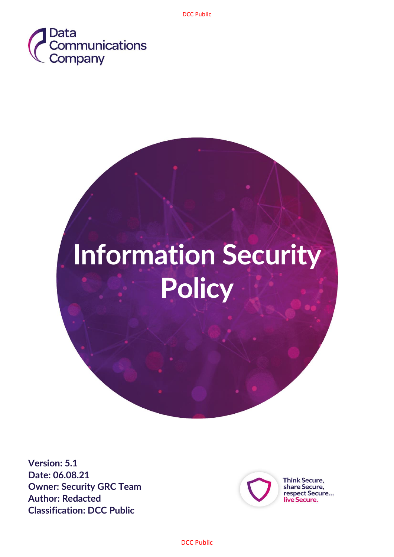



**Version: 5.1 Date: 06.08.21 Owner: Security GRC Team Author: Redacted Classification: DCC Public**



**Think Secure,** share Secure,<br>respect Secure... live Secure.

DCC Public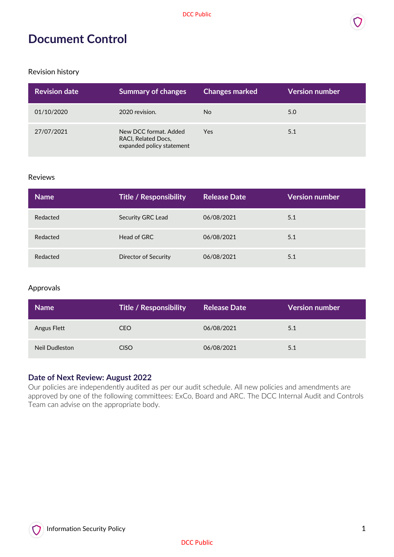## **Document Control**

Revision history

| <b>Revision date</b> | <b>Summary of changes</b>                                                 | <b>Changes marked</b> | <b>Version number</b> |
|----------------------|---------------------------------------------------------------------------|-----------------------|-----------------------|
| 01/10/2020           | 2020 revision.                                                            | N <sub>o</sub>        | 5.0                   |
| 27/07/2021           | New DCC format, Added<br>RACI, Related Docs,<br>expanded policy statement | Yes                   | 5.1                   |

#### Reviews

| <b>Name</b> | <b>Title / Responsibility</b> | <b>Release Date</b> | <b>Version number</b> |
|-------------|-------------------------------|---------------------|-----------------------|
| Redacted    | Security GRC Lead             | 06/08/2021          | 5.1                   |
| Redacted    | Head of GRC                   | 06/08/2021          | 5.1                   |
| Redacted    | Director of Security          | 06/08/2021          | 5.1                   |

#### Approvals

| <b>Name</b>    | <b>Title / Responsibility</b> | Release Date | <b>Version number</b> |
|----------------|-------------------------------|--------------|-----------------------|
| Angus Flett    | CEO                           | 06/08/2021   | 5.1                   |
| Neil Dudleston | <b>CISO</b>                   | 06/08/2021   | 5.1                   |

#### **Date of Next Review: August 2022**

Our policies are independently audited as per our audit schedule. All new policies and amendments are approved by one of the following committees: ExCo, Board and ARC. The DCC Internal Audit and Controls Team can advise on the appropriate body.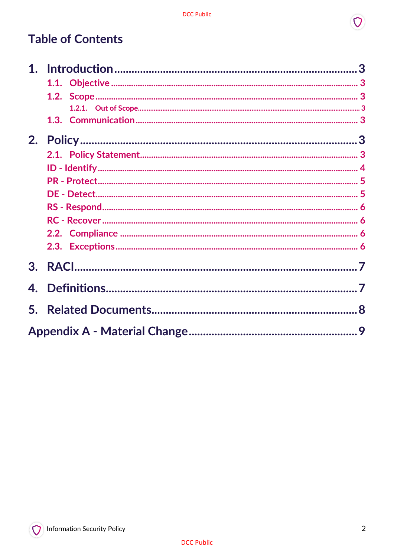# **Table of Contents**

| 2. |  |
|----|--|
|    |  |
|    |  |
|    |  |
|    |  |
|    |  |
|    |  |
|    |  |
|    |  |
| 3. |  |
|    |  |
|    |  |
|    |  |

 $\Omega$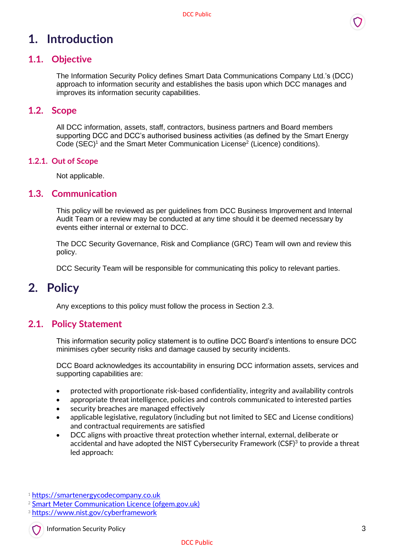# <span id="page-3-0"></span>**1. Introduction**

### <span id="page-3-1"></span>**1.1. Objective**

The Information Security Policy defines Smart Data Communications Company Ltd.'s (DCC) approach to information security and establishes the basis upon which DCC manages and improves its information security capabilities.

#### <span id="page-3-2"></span>**1.2. Scope**

All DCC information, assets, staff, contractors, business partners and Board members supporting DCC and DCC's authorised business activities (as defined by the Smart Energy Code (SEC)<sup>1</sup> and the Smart Meter Communication License<sup>2</sup> (Licence) conditions).

#### <span id="page-3-3"></span>**1.2.1. Out of Scope**

Not applicable.

#### <span id="page-3-4"></span>**1.3. Communication**

This policy will be reviewed as per guidelines from DCC Business Improvement and Internal Audit Team or a review may be conducted at any time should it be deemed necessary by events either internal or external to DCC.

The DCC Security Governance, Risk and Compliance (GRC) Team will own and review this policy.

DCC Security Team will be responsible for communicating this policy to relevant parties.

### <span id="page-3-5"></span>**2. Policy**

Any exceptions to this policy must follow the process in Section 2.3.

#### <span id="page-3-6"></span>**2.1. Policy Statement**

This information security policy statement is to outline DCC Board's intentions to ensure DCC minimises cyber security risks and damage caused by security incidents.

DCC Board acknowledges its accountability in ensuring DCC information assets, services and supporting capabilities are:

- protected with proportionate risk-based confidentiality, integrity and availability controls
- appropriate threat intelligence, policies and controls communicated to interested parties
- security breaches are managed effectively
- applicable legislative, regulatory (including but not limited to SEC and License conditions) and contractual requirements are satisfied
- DCC aligns with proactive threat protection whether internal, external, deliberate or accidental and have adopted the NIST Cybersecurity Framework (CSF)<sup>3</sup> to provide a threat led approach:

Information Security Policy 3

<sup>1</sup> [https://smartenergycodecompany.co.uk](https://smartenergycodecompany.co.uk/)

<sup>2</sup> [Smart Meter Communication Licence \(ofgem.gov.uk\)](https://epr.ofgem.gov.uk/Content/Documents/Smart%20DCC%20Limited%20-%20Smart%20Meter%20Communication%20Consolidated%20Licence%20Conditions%20-%20Current%20Version.pdf)

<sup>3</sup> <https://www.nist.gov/cyberframework>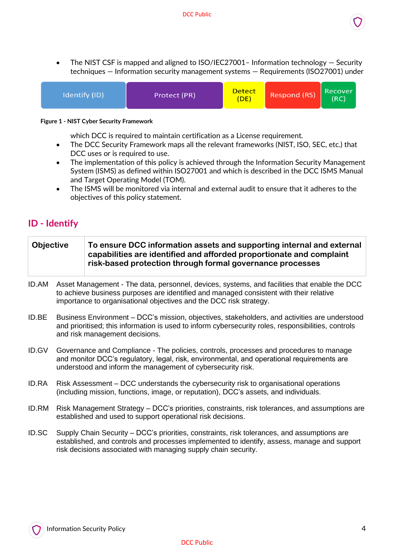

• The NIST CSF is mapped and aligned to ISO/IEC27001 - Information technology – Security techniques — Information security management systems — Requirements (ISO27001) under



**Figure 1 - NIST Cyber Security Framework**

which DCC is required to maintain certification as a License requirement.

- The DCC Security Framework maps all the relevant frameworks (NIST, ISO, SEC, etc.) that DCC uses or is required to use.
- The implementation of this policy is achieved through the Information Security Management System (ISMS) as defined within ISO27001 and which is described in the DCC ISMS Manual and Target Operating Model (TOM).
- The ISMS will be monitored via internal and external audit to ensure that it adheres to the objectives of this policy statement.

### <span id="page-4-0"></span>**ID - Identify**

| Objective | To ensure DCC information assets and supporting internal and external                                                             |
|-----------|-----------------------------------------------------------------------------------------------------------------------------------|
|           | capabilities are identified and afforded proportionate and complaint<br>risk-based protection through formal governance processes |
|           |                                                                                                                                   |

- ID.AM Asset Management The data, personnel, devices, systems, and facilities that enable the DCC to achieve business purposes are identified and managed consistent with their relative importance to organisational objectives and the DCC risk strategy.
- ID.BE Business Environment DCC's mission, objectives, stakeholders, and activities are understood and prioritised; this information is used to inform cybersecurity roles, responsibilities, controls and risk management decisions.
- ID.GV Governance and Compliance The policies, controls, processes and procedures to manage and monitor DCC's regulatory, legal, risk, environmental, and operational requirements are understood and inform the management of cybersecurity risk.
- ID.RA Risk Assessment DCC understands the cybersecurity risk to organisational operations (including mission, functions, image, or reputation), DCC's assets, and individuals.
- ID.RM Risk Management Strategy DCC's priorities, constraints, risk tolerances, and assumptions are established and used to support operational risk decisions.
- ID.SC Supply Chain Security DCC's priorities, constraints, risk tolerances, and assumptions are established, and controls and processes implemented to identify, assess, manage and support risk decisions associated with managing supply chain security.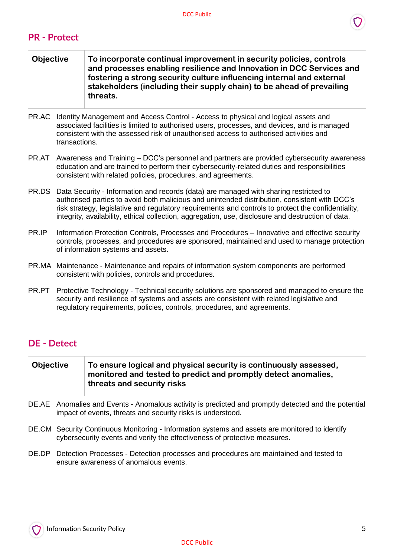#### <span id="page-5-0"></span>**PR - Protect**

| <b>Objective</b> | To incorporate continual improvement in security policies, controls<br>and processes enabling resilience and Innovation in DCC Services and<br>fostering a strong security culture influencing internal and external<br>stakeholders (including their supply chain) to be ahead of prevailing<br>threats. |
|------------------|-----------------------------------------------------------------------------------------------------------------------------------------------------------------------------------------------------------------------------------------------------------------------------------------------------------|
|                  |                                                                                                                                                                                                                                                                                                           |

- PR.AC Identity Management and Access Control Access to physical and logical assets and associated facilities is limited to authorised users, processes, and devices, and is managed consistent with the assessed risk of unauthorised access to authorised activities and transactions.
- PR.AT Awareness and Training DCC's personnel and partners are provided cybersecurity awareness education and are trained to perform their cybersecurity-related duties and responsibilities consistent with related policies, procedures, and agreements.
- PR.DS Data Security Information and records (data) are managed with sharing restricted to authorised parties to avoid both malicious and unintended distribution, consistent with DCC's risk strategy, legislative and regulatory requirements and controls to protect the confidentiality, integrity, availability, ethical collection, aggregation, use, disclosure and destruction of data.
- PR.IP Information Protection Controls, Processes and Procedures Innovative and effective security controls, processes, and procedures are sponsored, maintained and used to manage protection of information systems and assets.
- PR.MA Maintenance Maintenance and repairs of information system components are performed consistent with policies, controls and procedures.
- PR.PT Protective Technology Technical security solutions are sponsored and managed to ensure the security and resilience of systems and assets are consistent with related legislative and regulatory requirements, policies, controls, procedures, and agreements.

### <span id="page-5-1"></span>**DE - Detect**

| Objective | To ensure logical and physical security is continuously assessed, |
|-----------|-------------------------------------------------------------------|
|           | monitored and tested to predict and promptly detect anomalies,    |
|           | threats and security risks                                        |

- DE.AE Anomalies and Events Anomalous activity is predicted and promptly detected and the potential impact of events, threats and security risks is understood.
- DE.CM Security Continuous Monitoring Information systems and assets are monitored to identify cybersecurity events and verify the effectiveness of protective measures.
- DE.DP Detection Processes Detection processes and procedures are maintained and tested to ensure awareness of anomalous events.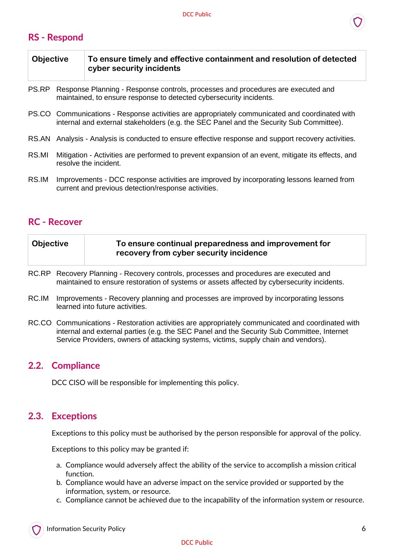### <span id="page-6-0"></span>**RS - Respond**

| <b>Objective</b> | To ensure timely and effective containment and resolution of detected<br>cyber security incidents |
|------------------|---------------------------------------------------------------------------------------------------|
|                  |                                                                                                   |

- PS.RP Response Planning Response controls, processes and procedures are executed and maintained, to ensure response to detected cybersecurity incidents.
- PS.CO Communications Response activities are appropriately communicated and coordinated with internal and external stakeholders (e.g. the SEC Panel and the Security Sub Committee).
- RS.AN Analysis Analysis is conducted to ensure effective response and support recovery activities.
- RS.MI Mitigation Activities are performed to prevent expansion of an event, mitigate its effects, and resolve the incident.
- RS.IM Improvements DCC response activities are improved by incorporating lessons learned from current and previous detection/response activities.

### <span id="page-6-1"></span>**RC - Recover**

- RC.RP Recovery Planning Recovery controls, processes and procedures are executed and maintained to ensure restoration of systems or assets affected by cybersecurity incidents.
- RC.IM Improvements Recovery planning and processes are improved by incorporating lessons learned into future activities.
- RC.CO Communications Restoration activities are appropriately communicated and coordinated with internal and external parties (e.g. the SEC Panel and the Security Sub Committee, Internet Service Providers, owners of attacking systems, victims, supply chain and vendors).

### <span id="page-6-2"></span>**2.2. Compliance**

DCC CISO will be responsible for implementing this policy.

### <span id="page-6-3"></span>**2.3. Exceptions**

Exceptions to this policy must be authorised by the person responsible for approval of the policy.

Exceptions to this policy may be granted if:

- a. Compliance would adversely affect the ability of the service to accomplish a mission critical function.
- b. Compliance would have an adverse impact on the service provided or supported by the information, system, or resource.
- c. Compliance cannot be achieved due to the incapability of the information system or resource.

#### DCC Public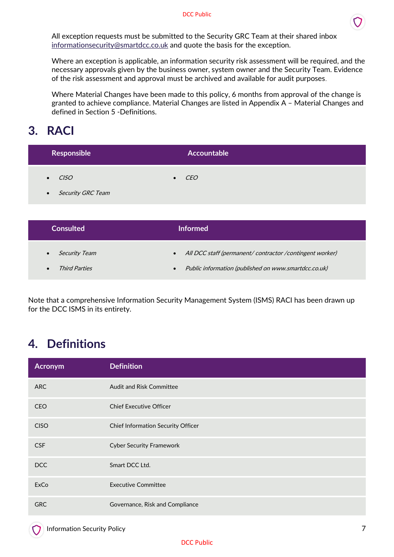

All exception requests must be submitted to the Security GRC Team at their shared inbox [informationsecurity@smartdcc.co.uk](mailto:informationsecurity@smartdcc.co.uk?subject=Exception) and quote the basis for the exception.

Where an exception is applicable, an information security risk assessment will be required, and the necessary approvals given by the business owner, system owner and the Security Team. Evidence of the risk assessment and approval must be archived and available for audit purposes.

Where Material Changes have been made to this policy, 6 months from approval of the change is granted to achieve compliance. Material Changes are listed in Appendix A – Material Changes and defined in Section 5 -Definitions.

# <span id="page-7-0"></span>**3. RACI**

| Responsible         | Accountable   |  |
|---------------------|---------------|--|
| $\bullet$ $CISO$    | $\bullet$ CEO |  |
| • Security GRC Team |               |  |

| <b>Consulted</b>                  | <b>Informed</b>                                                        |
|-----------------------------------|------------------------------------------------------------------------|
| <i>Security Team</i><br>$\bullet$ | All DCC staff (permanent/ contractor / contingent worker)<br>$\bullet$ |
| <i>Third Parties</i>              | Public information (published on www.smartdcc.co.uk)<br>$\bullet$      |

Note that a comprehensive Information Security Management System (ISMS) RACI has been drawn up for the DCC ISMS in its entirety.

# <span id="page-7-1"></span>**4. Definitions**

| Acronym     | <b>Definition</b>                  |
|-------------|------------------------------------|
| <b>ARC</b>  | <b>Audit and Risk Committee</b>    |
| <b>CEO</b>  | <b>Chief Executive Officer</b>     |
| <b>CISO</b> | Chief Information Security Officer |
| <b>CSF</b>  | <b>Cyber Security Framework</b>    |
| <b>DCC</b>  | Smart DCC Ltd.                     |
| ExCo        | <b>Executive Committee</b>         |
| <b>GRC</b>  | Governance, Risk and Compliance    |

#### DCC Public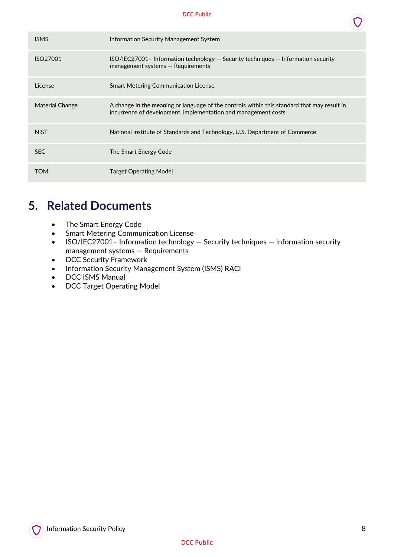#### DCC Public

| <b>ISMS</b>          | Information Security Management System                                                                                                                        |
|----------------------|---------------------------------------------------------------------------------------------------------------------------------------------------------------|
| ISO <sub>27001</sub> | $ISO/IEC27001$ - Information technology $-$ Security techniques $-$ Information security<br>$m$ anagement systems $-$ Requirements                            |
| License              | <b>Smart Metering Communication License</b>                                                                                                                   |
| Material Change      | A change in the meaning or language of the controls within this standard that may result in<br>incurrence of development, implementation and management costs |
| <b>NIST</b>          | National institute of Standards and Technology, U.S. Department of Commerce                                                                                   |
| <b>SEC</b>           | The Smart Energy Code                                                                                                                                         |
| TOM                  | Target Operating Model                                                                                                                                        |

# <span id="page-8-0"></span>**5. Related Documents**

- The Smart Energy Code
- Smart Metering Communication License
- ISO/IEC27001- Information technology Security techniques Information security management systems — Requirements
- DCC Security Framework
- Information Security Management System (ISMS) RACI
- DCC ISMS Manual
- DCC Target Operating Model